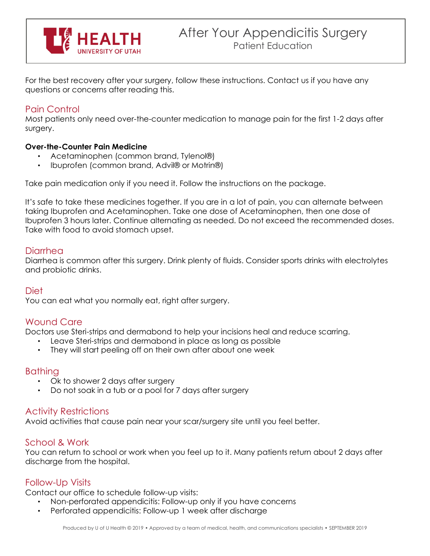

For the best recovery after your surgery, follow these instructions. Contact us if you have any questions or concerns after reading this.

# Pain Control

Most patients only need over-the-counter medication to manage pain for the first 1-2 days after surgery.

## **Over-the-Counter Pain Medicine**

- Acetaminophen (common brand, Tylenol®)
- Ibuprofen (common brand, Advil® or Motrin®)

Take pain medication only if you need it. Follow the instructions on the package.

It's safe to take these medicines together. If you are in a lot of pain, you can alternate between taking Ibuprofen and Acetaminophen. Take one dose of Acetaminophen, then one dose of Ibuprofen 3 hours later. Continue alternating as needed. Do not exceed the recommended doses. Take with food to avoid stomach upset.

## **Diarrhea**

Diarrhea is common after this surgery. Drink plenty of fluids. Consider sports drinks with electrolytes and probiotic drinks.

## **Diet**

You can eat what you normally eat, right after surgery.

## Wound Care

Doctors use Steri-strips and dermabond to help your incisions heal and reduce scarring.

- Leave Steri-strips and dermabond in place as long as possible
- They will start peeling off on their own after about one week

## **Bathing**

- Ok to shower 2 days after surgery
- Do not soak in a tub or a pool for 7 days after surgery

## Activity Restrictions

Avoid activities that cause pain near your scar/surgery site until you feel better.

## School & Work

You can return to school or work when you feel up to it. Many patients return about 2 days after discharge from the hospital.

## Follow-Up Visits

Contact our office to schedule follow-up visits:

- Non-perforated appendicitis: Follow-up only if you have concerns
- Perforated appendicitis: Follow-up 1 week after discharge